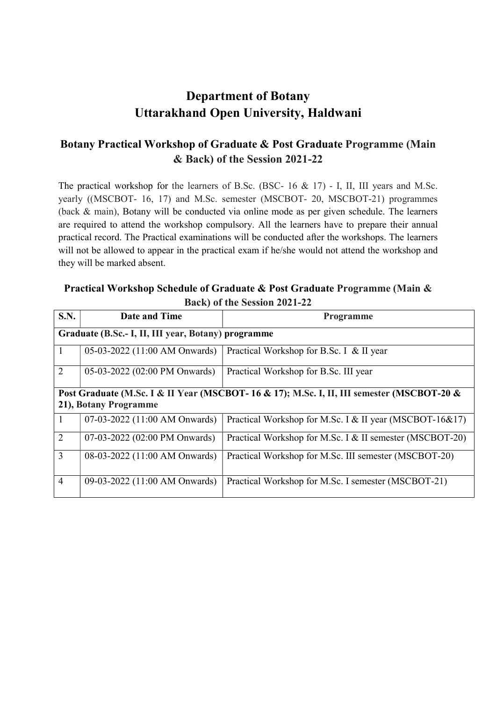# Department of Botany Uttarakhand Open University, Haldwani

## Botany Practical Workshop of Graduate & Post Graduate Programme (Main & Back) of the Session 2021-22

The practical workshop for the learners of B.Sc. (BSC-  $16 \& 17$ ) - I, II, III years and M.Sc. yearly ((MSCBOT- 16, 17) and M.Sc. semester (MSCBOT- 20, MSCBOT-21) programmes (back & main), Botany will be conducted via online mode as per given schedule. The learners are required to attend the workshop compulsory. All the learners have to prepare their annual practical record. The Practical examinations will be conducted after the workshops. The learners will not be allowed to appear in the practical exam if he/she would not attend the workshop and they will be marked absent.

#### Practical Workshop Schedule of Graduate & Post Graduate Programme (Main & Back) of the Session 2021-22

| S.N.                                                                                      | Date and Time                 | <b>Programme</b>                                         |  |  |
|-------------------------------------------------------------------------------------------|-------------------------------|----------------------------------------------------------|--|--|
| Graduate (B.Sc.- I, II, III year, Botany) programme                                       |                               |                                                          |  |  |
| $\mathbf{I}$                                                                              | 05-03-2022 (11:00 AM Onwards) | Practical Workshop for B.Sc. I & II year                 |  |  |
| 2                                                                                         | 05-03-2022 (02:00 PM Onwards) | Practical Workshop for B.Sc. III year                    |  |  |
| Post Graduate (M.Sc. I & II Year (MSCBOT-16 & 17); M.Sc. I, II, III semester (MSCBOT-20 & |                               |                                                          |  |  |
| 21), Botany Programme                                                                     |                               |                                                          |  |  |
|                                                                                           | 07-03-2022 (11:00 AM Onwards) | Practical Workshop for M.Sc. I & II year (MSCBOT-16&17)  |  |  |
| 2                                                                                         | 07-03-2022 (02:00 PM Onwards) | Practical Workshop for M.Sc. I & II semester (MSCBOT-20) |  |  |
| $\overline{3}$                                                                            | 08-03-2022 (11:00 AM Onwards) | Practical Workshop for M.Sc. III semester (MSCBOT-20)    |  |  |
| $\overline{4}$                                                                            | 09-03-2022 (11:00 AM Onwards) | Practical Workshop for M.Sc. I semester (MSCBOT-21)      |  |  |